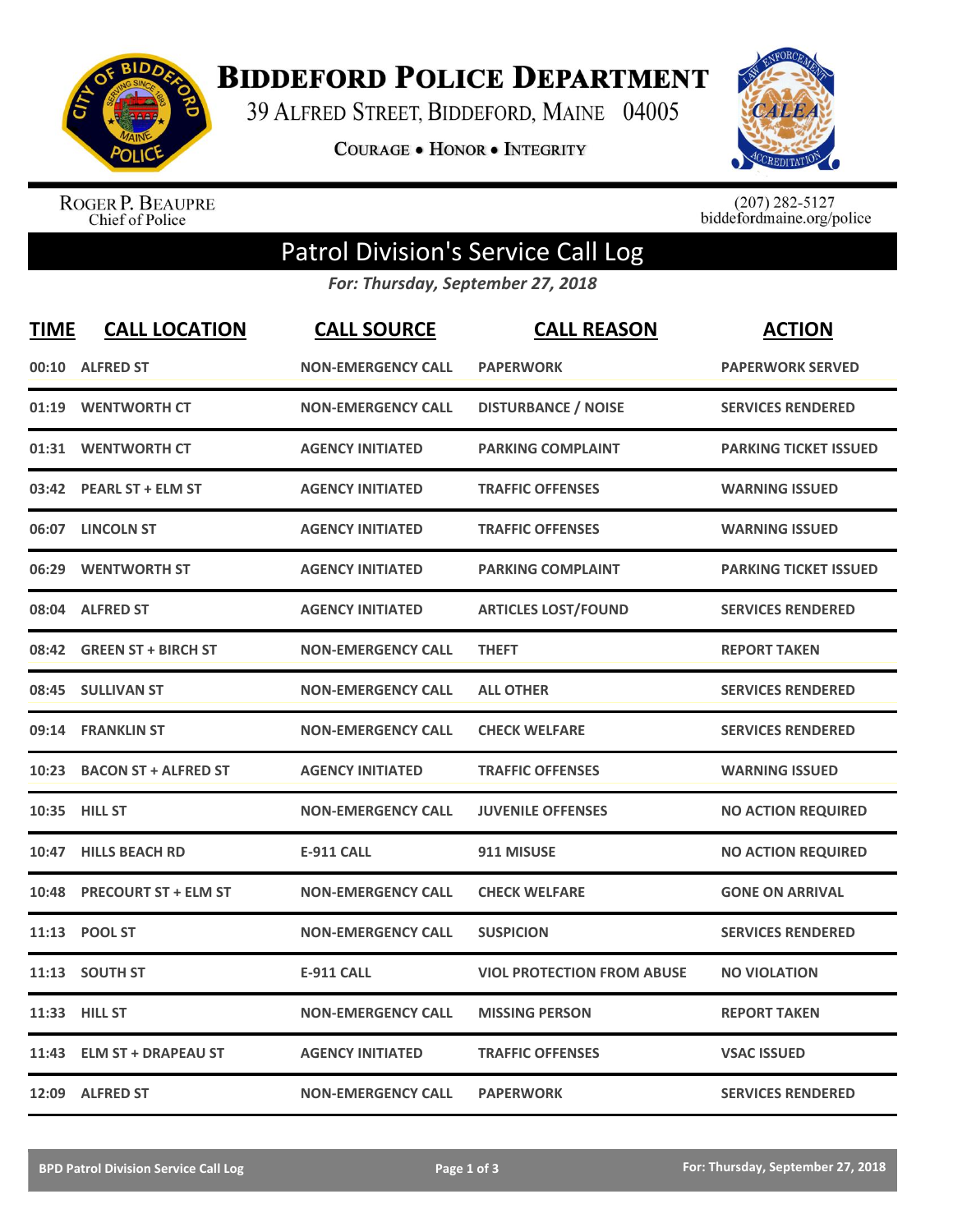

**BIDDEFORD POLICE DEPARTMENT** 

39 ALFRED STREET, BIDDEFORD, MAINE 04005

**COURAGE . HONOR . INTEGRITY** 



ROGER P. BEAUPRE<br>Chief of Police

 $(207)$  282-5127<br>biddefordmaine.org/police

## Patrol Division's Service Call Log

*For: Thursday, September 27, 2018*

| <b>TIME</b> | <b>CALL LOCATION</b>        | <b>CALL SOURCE</b>        | <b>CALL REASON</b>                | <b>ACTION</b>                |
|-------------|-----------------------------|---------------------------|-----------------------------------|------------------------------|
|             | 00:10 ALFRED ST             | <b>NON-EMERGENCY CALL</b> | <b>PAPERWORK</b>                  | <b>PAPERWORK SERVED</b>      |
|             | 01:19 WENTWORTH CT          | <b>NON-EMERGENCY CALL</b> | <b>DISTURBANCE / NOISE</b>        | <b>SERVICES RENDERED</b>     |
|             | 01:31 WENTWORTH CT          | <b>AGENCY INITIATED</b>   | <b>PARKING COMPLAINT</b>          | <b>PARKING TICKET ISSUED</b> |
|             | 03:42 PEARL ST + ELM ST     | <b>AGENCY INITIATED</b>   | <b>TRAFFIC OFFENSES</b>           | <b>WARNING ISSUED</b>        |
|             | 06:07 LINCOLN ST            | <b>AGENCY INITIATED</b>   | <b>TRAFFIC OFFENSES</b>           | <b>WARNING ISSUED</b>        |
|             | 06:29 WENTWORTH ST          | <b>AGENCY INITIATED</b>   | <b>PARKING COMPLAINT</b>          | <b>PARKING TICKET ISSUED</b> |
|             | 08:04 ALFRED ST             | <b>AGENCY INITIATED</b>   | <b>ARTICLES LOST/FOUND</b>        | <b>SERVICES RENDERED</b>     |
|             | 08:42 GREEN ST + BIRCH ST   | <b>NON-EMERGENCY CALL</b> | <b>THEFT</b>                      | <b>REPORT TAKEN</b>          |
|             | 08:45 SULLIVAN ST           | <b>NON-EMERGENCY CALL</b> | <b>ALL OTHER</b>                  | <b>SERVICES RENDERED</b>     |
| 09:14       | <b>FRANKLIN ST</b>          | <b>NON-EMERGENCY CALL</b> | <b>CHECK WELFARE</b>              | <b>SERVICES RENDERED</b>     |
|             | 10:23 BACON ST + ALFRED ST  | <b>AGENCY INITIATED</b>   | <b>TRAFFIC OFFENSES</b>           | <b>WARNING ISSUED</b>        |
|             | 10:35 HILL ST               | <b>NON-EMERGENCY CALL</b> | <b>JUVENILE OFFENSES</b>          | <b>NO ACTION REQUIRED</b>    |
| 10:47       | <b>HILLS BEACH RD</b>       | <b>E-911 CALL</b>         | 911 MISUSE                        | <b>NO ACTION REQUIRED</b>    |
| 10:48       | <b>PRECOURT ST + ELM ST</b> | <b>NON-EMERGENCY CALL</b> | <b>CHECK WELFARE</b>              | <b>GONE ON ARRIVAL</b>       |
| 11:13       | <b>POOL ST</b>              | <b>NON-EMERGENCY CALL</b> | <b>SUSPICION</b>                  | <b>SERVICES RENDERED</b>     |
|             | 11:13 SOUTH ST              | <b>E-911 CALL</b>         | <b>VIOL PROTECTION FROM ABUSE</b> | <b>NO VIOLATION</b>          |
|             | 11:33 HILL ST               | <b>NON-EMERGENCY CALL</b> | <b>MISSING PERSON</b>             | <b>REPORT TAKEN</b>          |
| 11:43       | <b>ELM ST + DRAPEAU ST</b>  | <b>AGENCY INITIATED</b>   | <b>TRAFFIC OFFENSES</b>           | <b>VSAC ISSUED</b>           |
|             | 12:09 ALFRED ST             | <b>NON-EMERGENCY CALL</b> | <b>PAPERWORK</b>                  | <b>SERVICES RENDERED</b>     |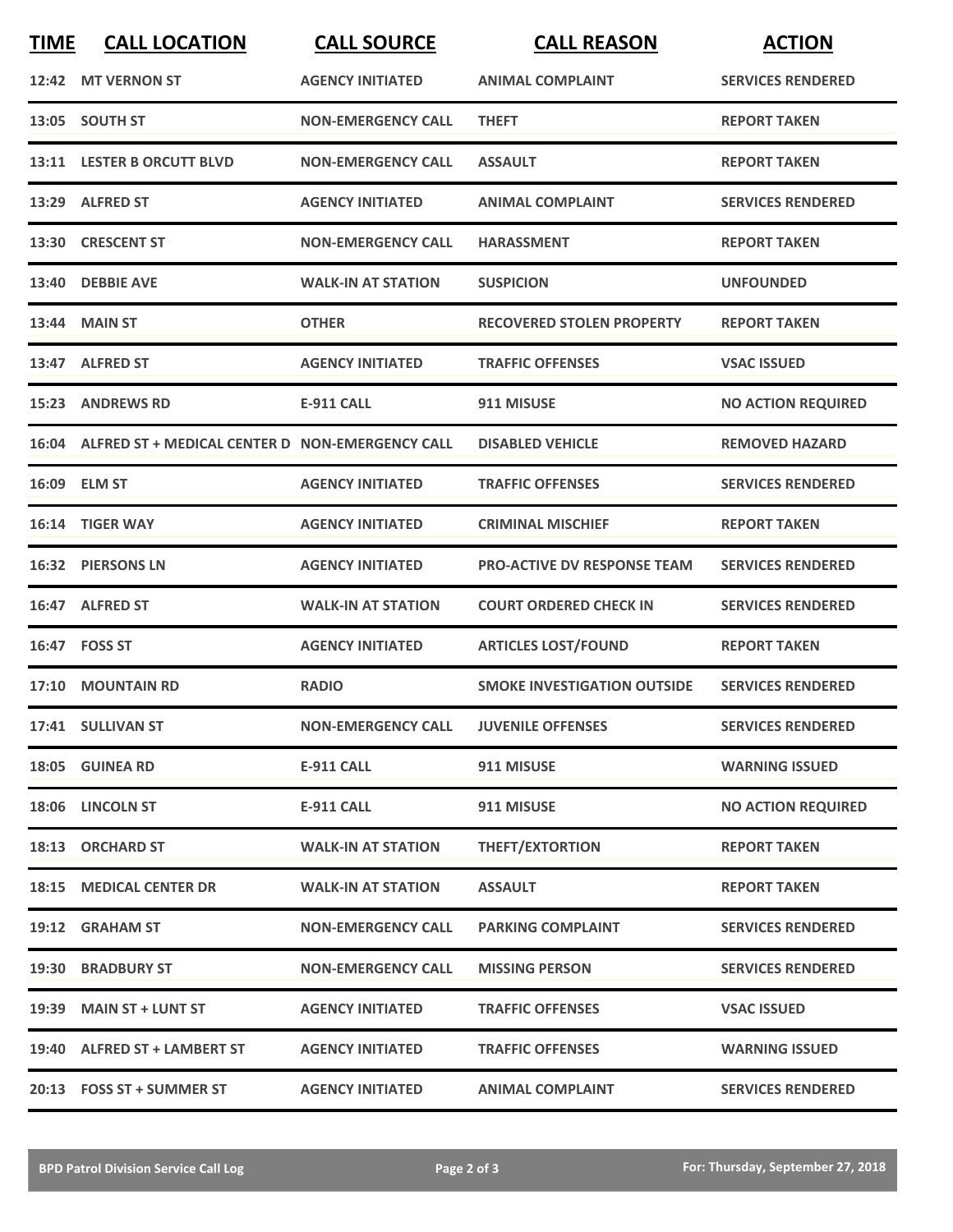| <b>TIME</b> | <b>CALL LOCATION</b>                                  | <b>CALL SOURCE</b>                   | <b>CALL REASON</b>                 | <b>ACTION</b>             |
|-------------|-------------------------------------------------------|--------------------------------------|------------------------------------|---------------------------|
|             | 12:42 MT VERNON ST                                    | <b>AGENCY INITIATED</b>              | <b>ANIMAL COMPLAINT</b>            | <b>SERVICES RENDERED</b>  |
|             | 13:05 SOUTH ST                                        | <b>NON-EMERGENCY CALL</b>            | <b>THEFT</b>                       | <b>REPORT TAKEN</b>       |
|             | 13:11 LESTER B ORCUTT BLVD                            | <b>NON-EMERGENCY CALL</b>            | <b>ASSAULT</b>                     | <b>REPORT TAKEN</b>       |
|             | 13:29 ALFRED ST                                       | <b>AGENCY INITIATED</b>              | <b>ANIMAL COMPLAINT</b>            | <b>SERVICES RENDERED</b>  |
|             | 13:30 CRESCENT ST                                     | <b>NON-EMERGENCY CALL</b>            | <b>HARASSMENT</b>                  | <b>REPORT TAKEN</b>       |
|             | 13:40 DEBBIE AVE                                      | <b>WALK-IN AT STATION</b>            | <b>SUSPICION</b>                   | <b>UNFOUNDED</b>          |
|             | 13:44 MAIN ST                                         | <b>OTHER</b>                         | <b>RECOVERED STOLEN PROPERTY</b>   | <b>REPORT TAKEN</b>       |
|             | 13:47 ALFRED ST                                       | <b>AGENCY INITIATED</b>              | <b>TRAFFIC OFFENSES</b>            | <b>VSAC ISSUED</b>        |
| 15:23       | <b>ANDREWS RD</b>                                     | <b>E-911 CALL</b>                    | 911 MISUSE                         | <b>NO ACTION REQUIRED</b> |
|             | 16:04 ALFRED ST + MEDICAL CENTER D NON-EMERGENCY CALL |                                      | <b>DISABLED VEHICLE</b>            | <b>REMOVED HAZARD</b>     |
|             | 16:09 ELM ST                                          | <b>AGENCY INITIATED</b>              | <b>TRAFFIC OFFENSES</b>            | <b>SERVICES RENDERED</b>  |
| 16:14       | <b>TIGER WAY</b>                                      | <b>AGENCY INITIATED</b>              | <b>CRIMINAL MISCHIEF</b>           | <b>REPORT TAKEN</b>       |
|             | 16:32 PIERSONS LN                                     | <b>AGENCY INITIATED</b>              | <b>PRO-ACTIVE DV RESPONSE TEAM</b> | <b>SERVICES RENDERED</b>  |
| 16:47       | <b>ALFRED ST</b>                                      | <b>WALK-IN AT STATION</b>            | <b>COURT ORDERED CHECK IN</b>      | <b>SERVICES RENDERED</b>  |
|             | 16:47 FOSS ST                                         | <b>AGENCY INITIATED</b>              | <b>ARTICLES LOST/FOUND</b>         | <b>REPORT TAKEN</b>       |
|             | 17:10 MOUNTAIN RD                                     | <b>RADIO</b>                         | <b>SMOKE INVESTIGATION OUTSIDE</b> | <b>SERVICES RENDERED</b>  |
|             | 17:41 SULLIVAN ST                                     | NON-EMERGENCY CALL JUVENILE OFFENSES |                                    | <b>SERVICES RENDERED</b>  |
|             | 18:05 GUINEA RD                                       | <b>E-911 CALL</b>                    | 911 MISUSE                         | <b>WARNING ISSUED</b>     |
|             | 18:06 LINCOLN ST                                      | <b>E-911 CALL</b>                    | 911 MISUSE                         | <b>NO ACTION REQUIRED</b> |
|             | 18:13 ORCHARD ST                                      | <b>WALK-IN AT STATION</b>            | <b>THEFT/EXTORTION</b>             | <b>REPORT TAKEN</b>       |
|             | 18:15 MEDICAL CENTER DR                               | <b>WALK-IN AT STATION</b>            | <b>ASSAULT</b>                     | <b>REPORT TAKEN</b>       |
|             | 19:12 GRAHAM ST                                       | <b>NON-EMERGENCY CALL</b>            | <b>PARKING COMPLAINT</b>           | <b>SERVICES RENDERED</b>  |
|             | 19:30 BRADBURY ST                                     | <b>NON-EMERGENCY CALL</b>            | <b>MISSING PERSON</b>              | <b>SERVICES RENDERED</b>  |
|             | 19:39 MAIN ST + LUNT ST                               | <b>AGENCY INITIATED</b>              | <b>TRAFFIC OFFENSES</b>            | <b>VSAC ISSUED</b>        |
|             | 19:40 ALFRED ST + LAMBERT ST                          | <b>AGENCY INITIATED</b>              | <b>TRAFFIC OFFENSES</b>            | <b>WARNING ISSUED</b>     |
|             | 20:13 FOSS ST + SUMMER ST                             | <b>AGENCY INITIATED</b>              | <b>ANIMAL COMPLAINT</b>            | <b>SERVICES RENDERED</b>  |